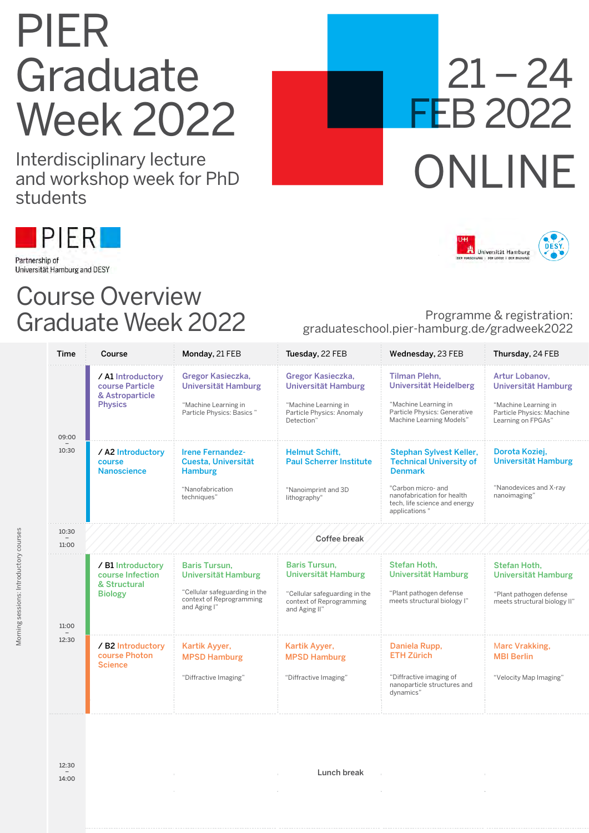## PIER **Graduate** Week 2022

Interdisciplinary lecture and workshop week for PhD students



Partnership of Universität Hamburg and DESY

## Course Overview Graduate Week 2022

## $21 - 24$ FEB 2022 ONLINE



## Programme & registration: graduateschool.pier-hamburg.de/gradweek2022

| Time           | Course                                                                    | Monday, 21 FEB                                                                                                           | Tuesday, 22 FEB                                                                                                           | Wednesday, 23 FEB                                                                                                                                                                 | Thursday, 24 FEB                                                                                                 |  |  |
|----------------|---------------------------------------------------------------------------|--------------------------------------------------------------------------------------------------------------------------|---------------------------------------------------------------------------------------------------------------------------|-----------------------------------------------------------------------------------------------------------------------------------------------------------------------------------|------------------------------------------------------------------------------------------------------------------|--|--|
| 09:00          | / Al Introductory<br>course Particle<br>& Astroparticle<br><b>Physics</b> | Gregor Kasieczka,<br>Universität Hamburg<br>"Machine Learning in<br>Particle Physics: Basics"                            | Gregor Kasieczka,<br>Universität Hamburg<br>"Machine Learning in<br>Particle Physics: Anomaly<br>Detection"               | <b>Tilman Plehn.</b><br>Universität Heidelberg<br>"Machine Learning in<br>Particle Physics: Generative<br>Machine Learning Models"                                                | Artur Lobanov.<br>Universität Hamburg<br>"Machine Learning in<br>Particle Physics: Machine<br>Learning on FPGAs" |  |  |
| 10:30          | / A2 Introductory<br>course<br><b>Nanoscience</b>                         | <b>Irene Fernandez-</b><br>Cuesta, Universität<br><b>Hamburg</b><br>"Nanofabrication<br>techniques"                      | <b>Helmut Schift.</b><br><b>Paul Scherrer Institute</b><br>"Nanoimprint and 3D<br>lithography"                            | Stephan Sylvest Keller,<br><b>Technical University of</b><br><b>Denmark</b><br>"Carbon micro- and<br>nanofabrication for health<br>tech, life science and energy<br>applications" | Dorota Koziej,<br><b>Universität Hamburg</b><br>"Nanodevices and X-ray<br>nanoimaging"                           |  |  |
| 10:30<br>11:00 | Coffee break                                                              |                                                                                                                          |                                                                                                                           |                                                                                                                                                                                   |                                                                                                                  |  |  |
| 11:00          | / B1 Introductory<br>course Infection<br>& Structural<br><b>Biology</b>   | <b>Baris Tursun,</b><br>Universität Hamburg<br>"Cellular safeguarding in the<br>context of Reprogramming<br>and Aging I" | <b>Baris Tursun.</b><br>Universität Hamburg<br>"Cellular safeguarding in the<br>context of Reprogramming<br>and Aging II" | Stefan Hoth.<br>Universität Hamburg<br>"Plant pathogen defense<br>meets structural biology I"                                                                                     | Stefan Hoth.<br>Universität Hamburg<br>"Plant pathogen defense<br>meets structural biology II"                   |  |  |
| 12:30          | / B2 Introductory<br>course Photon<br><b>Science</b>                      | Kartik Ayyer,<br><b>MPSD Hamburg</b><br>"Diffractive Imaging"                                                            | Kartik Ayyer,<br><b>MPSD Hamburg</b><br>"Diffractive Imaging"                                                             | Daniela Rupp,<br><b>ETH Zürich</b><br>"Diffractive imaging of<br>nanoparticle structures and<br>dynamics"                                                                         | Marc Vrakking,<br><b>MBI Berlin</b><br>"Velocity Map Imaging"                                                    |  |  |

Morning sessions: Introductory courses

Morning sessions: Introductory courses

Lunch break